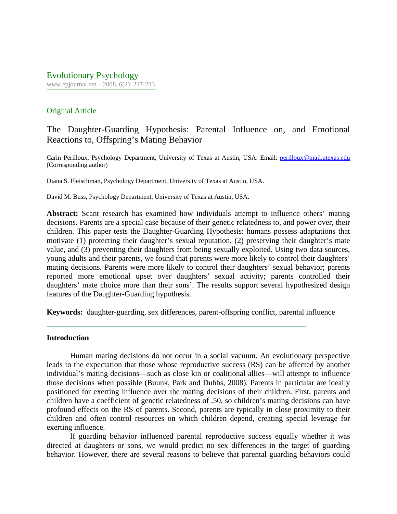# Evolutionary Psychology

www.epjournal.net – 2008. 6(2): 217-233 ¯¯¯¯¯¯¯¯¯¯¯¯¯¯¯¯¯¯¯¯¯¯¯¯¯¯¯¯

# Original Article

# The Daughter-Guarding Hypothesis: Parental Influence on, and Emotional Reactions to, Offspring's Mating Behavior

Carin Perilloux, Psychology Department, University of Texas at Austin, USA. Email: [perilloux@mail.utexas.edu](mailto:perilloux@mail.utexas.edu) (Corresponding author)

Diana S. Fleischman, Psychology Department, University of Texas at Austin, USA.

David M. Buss, Psychology Department, University of Texas at Austin, USA.

**Abstract:** Scant research has examined how individuals attempt to influence others' mating decisions. Parents are a special case because of their genetic relatedness to, and power over, their children. This paper tests the Daughter-Guarding Hypothesis: humans possess adaptations that motivate (1) protecting their daughter's sexual reputation, (2) preserving their daughter's mate value, and (3) preventing their daughters from being sexually exploited. Using two data sources, young adults and their parents, we found that parents were more likely to control their daughters' mating decisions. Parents were more likely to control their daughters' sexual behavior; parents reported more emotional upset over daughters' sexual activity; parents controlled their daughters' mate choice more than their sons'. The results support several hypothesized design features of the Daughter-Guarding hypothesis.

**Keywords:** daughter-guarding, sex differences, parent-offspring conflict, parental influence

**¯¯¯¯¯¯¯¯¯¯¯¯¯¯¯¯¯¯¯¯¯¯¯¯¯¯¯¯¯¯¯¯¯¯¯¯¯¯¯¯¯¯¯¯¯¯¯¯¯¯¯¯¯¯¯¯¯¯¯¯¯¯¯¯¯¯¯¯¯¯¯¯¯¯¯¯¯¯¯¯**

# **Introduction**

Human mating decisions do not occur in a social vacuum. An evolutionary perspective leads to the expectation that those whose reproductive success (RS) can be affected by another individual's mating decisions—such as close kin or coalitional allies—will attempt to influence those decisions when possible (Buunk, Park and Dubbs, 2008). Parents in particular are ideally positioned for exerting influence over the mating decisions of their children. First, parents and children have a coefficient of genetic relatedness of .50, so children's mating decisions can have profound effects on the RS of parents. Second, parents are typically in close proximity to their children and often control resources on which children depend, creating special leverage for exerting influence.

If guarding behavior influenced parental reproductive success equally whether it was directed at daughters or sons, we would predict no sex differences in the target of guarding behavior. However, there are several reasons to believe that parental guarding behaviors could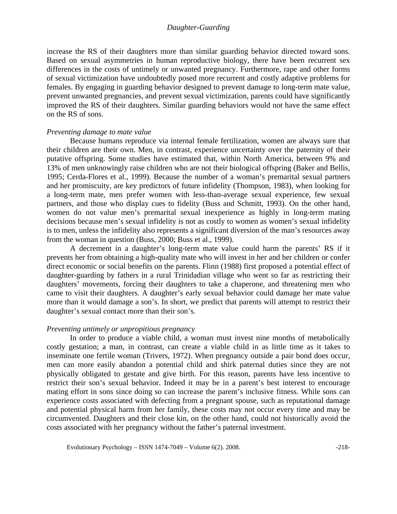increase the RS of their daughters more than similar guarding behavior directed toward sons. Based on sexual asymmetries in human reproductive biology, there have been recurrent sex differences in the costs of untimely or unwanted pregnancy. Furthermore, rape and other forms of sexual victimization have undoubtedly posed more recurrent and costly adaptive problems for females. By engaging in guarding behavior designed to prevent damage to long-term mate value, prevent unwanted pregnancies, and prevent sexual victimization, parents could have significantly improved the RS of their daughters. Similar guarding behaviors would not have the same effect on the RS of sons.

### *Preventing damage to mate value*

Because humans reproduce via internal female fertilization, women are always sure that their children are their own. Men, in contrast, experience uncertainty over the paternity of their putative offspring. Some studies have estimated that, within North America, between 9% and 13% of men unknowingly raise children who are not their biological offspring (Baker and Bellis, 1995; Cerda-Flores et al., 1999). Because the number of a woman's premarital sexual partners and her promiscuity, are key predictors of future infidelity (Thompson, 1983), when looking for a long-term mate, men prefer women with less-than-average sexual experience, few sexual partners, and those who display cues to fidelity (Buss and Schmitt, 1993). On the other hand, women do not value men's premarital sexual inexperience as highly in long-term mating decisions because men's sexual infidelity is not as costly to women as women's sexual infidelity is to men, unless the infidelity also represents a significant diversion of the man's resources away from the woman in question (Buss, 2000; Buss et al., 1999).

A decrement in a daughter's long-term mate value could harm the parents' RS if it prevents her from obtaining a high-quality mate who will invest in her and her children or confer direct economic or social benefits on the parents. Flinn (1988) first proposed a potential effect of daughter-guarding by fathers in a rural Trinidadian village who went so far as restricting their daughters' movements, forcing their daughters to take a chaperone, and threatening men who came to visit their daughters. A daughter's early sexual behavior could damage her mate value more than it would damage a son's. In short, we predict that parents will attempt to restrict their daughter's sexual contact more than their son's.

### *Preventing untimely or unpropitious pregnancy*

In order to produce a viable child, a woman must invest nine months of metabolically costly gestation; a man, in contrast, can create a viable child in as little time as it takes to inseminate one fertile woman (Trivers, 1972). When pregnancy outside a pair bond does occur, men can more easily abandon a potential child and shirk paternal duties since they are not physically obligated to gestate and give birth. For this reason, parents have less incentive to restrict their son's sexual behavior. Indeed it may be in a parent's best interest to encourage mating effort in sons since doing so can increase the parent's inclusive fitness. While sons can experience costs associated with defecting from a pregnant spouse, such as reputational damage and potential physical harm from her family, these costs may not occur every time and may be circumvented. Daughters and their close kin, on the other hand, could not historically avoid the costs associated with her pregnancy without the father's paternal investment.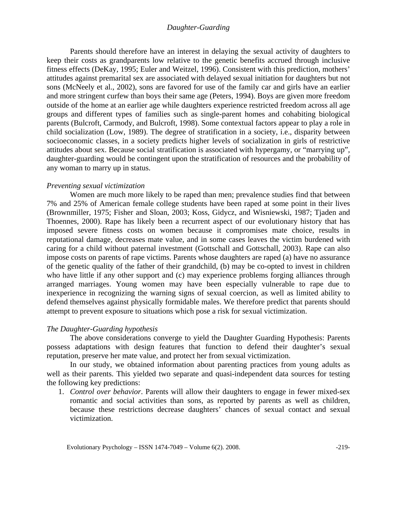Parents should therefore have an interest in delaying the sexual activity of daughters to keep their costs as grandparents low relative to the genetic benefits accrued through inclusive fitness effects (DeKay, 1995; Euler and Weitzel, 1996). Consistent with this prediction, mothers' attitudes against premarital sex are associated with delayed sexual initiation for daughters but not sons (McNeely et al., 2002), sons are favored for use of the family car and girls have an earlier and more stringent curfew than boys their same age (Peters, 1994). Boys are given more freedom outside of the home at an earlier age while daughters experience restricted freedom across all age groups and different types of families such as single-parent homes and cohabiting biological parents (Bulcroft, Carmody, and Bulcroft, 1998). Some contextual factors appear to play a role in child socialization (Low, 1989). The degree of stratification in a society, i.e., disparity between socioeconomic classes, in a society predicts higher levels of socialization in girls of restrictive attitudes about sex. Because social stratification is associated with hypergamy, or "marrying up", daughter-guarding would be contingent upon the stratification of resources and the probability of any woman to marry up in status.

### *Preventing sexual victimization*

Women are much more likely to be raped than men; prevalence studies find that between 7% and 25% of American female college students have been raped at some point in their lives (Brownmiller, 1975; Fisher and Sloan, 2003; Koss, Gidycz, and Wisniewski, 1987; Tjaden and Thoennes, 2000). Rape has likely been a recurrent aspect of our evolutionary history that has imposed severe fitness costs on women because it compromises mate choice, results in reputational damage, decreases mate value, and in some cases leaves the victim burdened with caring for a child without paternal investment (Gottschall and Gottschall, 2003). Rape can also impose costs on parents of rape victims. Parents whose daughters are raped (a) have no assurance of the genetic quality of the father of their grandchild, (b) may be co-opted to invest in children who have little if any other support and (c) may experience problems forging alliances through arranged marriages. Young women may have been especially vulnerable to rape due to inexperience in recognizing the warning signs of sexual coercion, as well as limited ability to defend themselves against physically formidable males. We therefore predict that parents should attempt to prevent exposure to situations which pose a risk for sexual victimization.

### *The Daughter-Guarding hypothesis*

The above considerations converge to yield the Daughter Guarding Hypothesis: Parents possess adaptations with design features that function to defend their daughter's sexual reputation, preserve her mate value, and protect her from sexual victimization.

In our study, we obtained information about parenting practices from young adults as well as their parents. This yielded two separate and quasi-independent data sources for testing the following key predictions:

1. *Control over behavior*. Parents will allow their daughters to engage in fewer mixed-sex romantic and social activities than sons, as reported by parents as well as children, because these restrictions decrease daughters' chances of sexual contact and sexual victimization.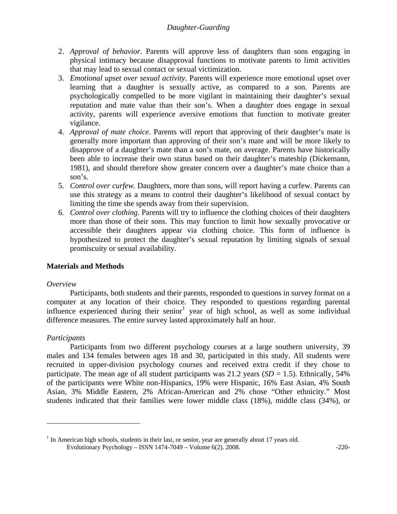- 2. *Approval of behavior*. Parents will approve less of daughters than sons engaging in physical intimacy because disapproval functions to motivate parents to limit activities that may lead to sexual contact or sexual victimization.
- 3. *Emotional upset over sexual activity*. Parents will experience more emotional upset over learning that a daughter is sexually active, as compared to a son. Parents are psychologically compelled to be more vigilant in maintaining their daughter's sexual reputation and mate value than their son's. When a daughter does engage in sexual activity, parents will experience aversive emotions that function to motivate greater vigilance.
- 4. *Approval of mate choice*. Parents will report that approving of their daughter's mate is generally more important than approving of their son's mate and will be more likely to disapprove of a daughter's mate than a son's mate, on average. Parents have historically been able to increase their own status based on their daughter's mateship (Dickemann, 1981), and should therefore show greater concern over a daughter's mate choice than a son's.
- 5. *Control over curfew.* Daughters, more than sons, will report having a curfew. Parents can use this strategy as a means to control their daughter's likelihood of sexual contact by limiting the time she spends away from their supervision.
- 6. *Control over clothing*. Parents will try to influence the clothing choices of their daughters more than those of their sons. This may function to limit how sexually provocative or accessible their daughters appear via clothing choice. This form of influence is hypothesized to protect the daughter's sexual reputation by limiting signals of sexual promiscuity or sexual availability.

# **Materials and Methods**

# *Overview*

Participants, both students and their parents, responded to questions in survey format on a computer at any location of their choice. They responded to questions regarding parental influence experienced during their senior<sup>[1](#page-3-0)</sup> year of high school, as well as some individual difference measures. The entire survey lasted approximately half an hour.

# *Participants*

 $\overline{a}$ 

Participants from two different psychology courses at a large southern university, 39 males and 134 females between ages 18 and 30, participated in this study. All students were recruited in upper-division psychology courses and received extra credit if they chose to participate. The mean age of all student participants was  $21.2$  years ( $SD = 1.5$ ). Ethnically, 54% of the participants were White non-Hispanics, 19% were Hispanic, 16% East Asian, 4% South Asian, 3% Middle Eastern, 2% African-American and 2% chose "Other ethnicity." Most students indicated that their families were lower middle class (18%), middle class (34%), or

<span id="page-3-0"></span>Evolutionary Psychology – ISSN  $1474-7049$  – Volume 6(2). 2008.  $-220-720$  $<sup>1</sup>$  In American high schools, students in their last, or senior, year are generally about 17 years old.</sup>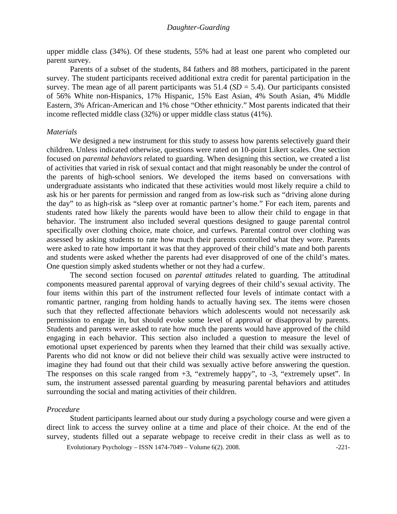upper middle class (34%). Of these students, 55% had at least one parent who completed our parent survey.

Parents of a subset of the students, 84 fathers and 88 mothers, participated in the parent survey. The student participants received additional extra credit for parental participation in the survey. The mean age of all parent participants was  $51.4$  ( $SD = 5.4$ ). Our participants consisted of 56% White non-Hispanics, 17% Hispanic, 15% East Asian, 4% South Asian, 4% Middle Eastern, 3% African-American and 1% chose "Other ethnicity." Most parents indicated that their income reflected middle class (32%) or upper middle class status (41%).

### *Materials*

We designed a new instrument for this study to assess how parents selectively guard their children. Unless indicated otherwise, questions were rated on 10-point Likert scales. One section focused on *parental behaviors* related to guarding. When designing this section, we created a list of activities that varied in risk of sexual contact and that might reasonably be under the control of the parents of high-school seniors. We developed the items based on conversations with undergraduate assistants who indicated that these activities would most likely require a child to ask his or her parents for permission and ranged from as low-risk such as "driving alone during the day" to as high-risk as "sleep over at romantic partner's home." For each item, parents and students rated how likely the parents would have been to allow their child to engage in that behavior. The instrument also included several questions designed to gauge parental control specifically over clothing choice, mate choice, and curfews. Parental control over clothing was assessed by asking students to rate how much their parents controlled what they wore. Parents were asked to rate how important it was that they approved of their child's mate and both parents and students were asked whether the parents had ever disapproved of one of the child's mates. One question simply asked students whether or not they had a curfew.

The second section focused on *parental attitudes* related to guarding. The attitudinal components measured parental approval of varying degrees of their child's sexual activity. The four items within this part of the instrument reflected four levels of intimate contact with a romantic partner, ranging from holding hands to actually having sex. The items were chosen such that they reflected affectionate behaviors which adolescents would not necessarily ask permission to engage in, but should evoke some level of approval or disapproval by parents. Students and parents were asked to rate how much the parents would have approved of the child engaging in each behavior. This section also included a question to measure the level of emotional upset experienced by parents when they learned that their child was sexually active. Parents who did not know or did not believe their child was sexually active were instructed to imagine they had found out that their child was sexually active before answering the question. The responses on this scale ranged from +3, "extremely happy", to -3, "extremely upset". In sum, the instrument assessed parental guarding by measuring parental behaviors and attitudes surrounding the social and mating activities of their children.

#### *Procedure*

Student participants learned about our study during a psychology course and were given a direct link to access the survey online at a time and place of their choice. At the end of the survey, students filled out a separate webpage to receive credit in their class as well as to

Evolutionary Psychology – ISSN  $1474-7049$  – Volume 6(2). 2008.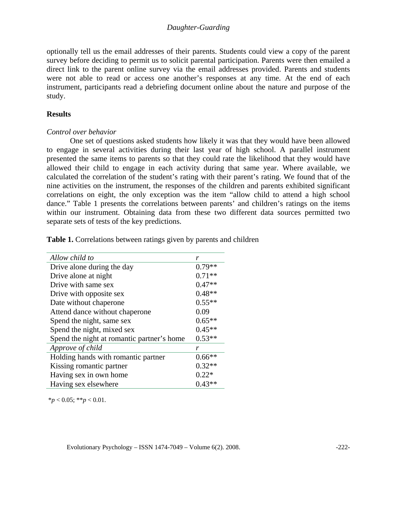optionally tell us the email addresses of their parents. Students could view a copy of the parent survey before deciding to permit us to solicit parental participation. Parents were then emailed a direct link to the parent online survey via the email addresses provided. Parents and students were not able to read or access one another's responses at any time. At the end of each instrument, participants read a debriefing document online about the nature and purpose of the study.

## **Results**

#### *Control over behavior*

 One set of questions asked students how likely it was that they would have been allowed to engage in several activities during their last year of high school. A parallel instrument presented the same items to parents so that they could rate the likelihood that they would have allowed their child to engage in each activity during that same year. Where available, we calculated the correlation of the student's rating with their parent's rating. We found that of the nine activities on the instrument, the responses of the children and parents exhibited significant correlations on eight, the only exception was the item "allow child to attend a high school dance." Table 1 presents the correlations between parents' and children's ratings on the items within our instrument. Obtaining data from these two different data sources permitted two separate sets of tests of the key predictions.

**Table 1.** Correlations between ratings given by parents and children

| Allow child to                             | r        |
|--------------------------------------------|----------|
| Drive alone during the day                 | $0.79**$ |
| Drive alone at night                       | $0.71**$ |
| Drive with same sex                        | $0.47**$ |
| Drive with opposite sex                    | $0.48**$ |
| Date without chaperone                     | $0.55**$ |
| Attend dance without chaperone             | 0.09     |
| Spend the night, same sex                  | $0.65**$ |
| Spend the night, mixed sex                 | $0.45**$ |
| Spend the night at romantic partner's home | $0.53**$ |
| Approve of child                           | r        |
| Holding hands with romantic partner        | $0.66**$ |
| Kissing romantic partner                   | $0.32**$ |
| Having sex in own home                     | $0.22*$  |
| Having sex elsewhere                       | $0.43**$ |

 $**p* < 0.05; ***p* < 0.01$ .

Evolutionary Psychology – ISSN  $1474-7049$  – Volume 6(2). 2008.  $-222-72$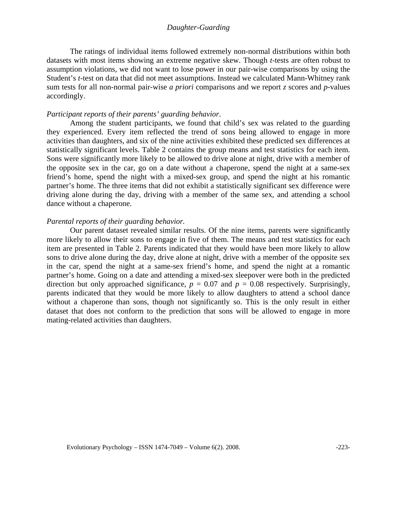The ratings of individual items followed extremely non-normal distributions within both datasets with most items showing an extreme negative skew. Though *t*-tests are often robust to assumption violations, we did not want to lose power in our pair-wise comparisons by using the Student's *t*-test on data that did not meet assumptions. Instead we calculated Mann-Whitney rank sum tests for all non-normal pair-wise *a priori* comparisons and we report *z* scores and *p*-values accordingly.

### *Participant reports of their parents' guarding behavior*.

Among the student participants, we found that child's sex was related to the guarding they experienced. Every item reflected the trend of sons being allowed to engage in more activities than daughters, and six of the nine activities exhibited these predicted sex differences at statistically significant levels. Table 2 contains the group means and test statistics for each item. Sons were significantly more likely to be allowed to drive alone at night, drive with a member of the opposite sex in the car, go on a date without a chaperone, spend the night at a same-sex friend's home, spend the night with a mixed-sex group, and spend the night at his romantic partner's home. The three items that did not exhibit a statistically significant sex difference were driving alone during the day, driving with a member of the same sex, and attending a school dance without a chaperone.

### *Parental reports of their guarding behavior.*

Our parent dataset revealed similar results. Of the nine items, parents were significantly more likely to allow their sons to engage in five of them. The means and test statistics for each item are presented in Table 2. Parents indicated that they would have been more likely to allow sons to drive alone during the day, drive alone at night, drive with a member of the opposite sex in the car, spend the night at a same-sex friend's home, and spend the night at a romantic partner's home. Going on a date and attending a mixed-sex sleepover were both in the predicted direction but only approached significance,  $p = 0.07$  and  $p = 0.08$  respectively. Surprisingly, parents indicated that they would be more likely to allow daughters to attend a school dance without a chaperone than sons, though not significantly so. This is the only result in either dataset that does not conform to the prediction that sons will be allowed to engage in more mating-related activities than daughters.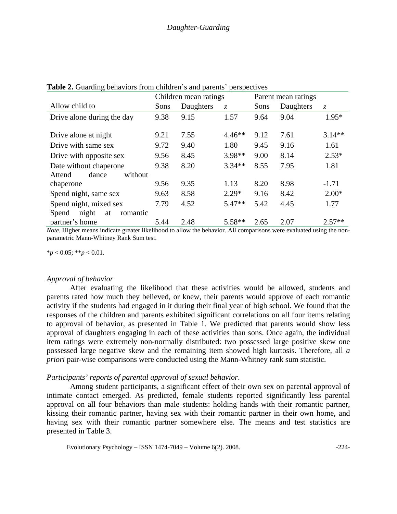|                                  | Children mean ratings |           |               | Parent mean ratings |           |             |
|----------------------------------|-----------------------|-----------|---------------|---------------------|-----------|-------------|
| Allow child to                   | Sons                  | Daughters | $\mathcal{Z}$ | Sons                | Daughters | $Z_{\cdot}$ |
| Drive alone during the day       | 9.38                  | 9.15      | 1.57          | 9.64                | 9.04      | $1.95*$     |
|                                  |                       |           |               |                     |           |             |
| Drive alone at night             | 9.21                  | 7.55      | $4.46**$      | 9.12                | 7.61      | $3.14**$    |
| Drive with same sex              | 9.72                  | 9.40      | 1.80          | 9.45                | 9.16      | 1.61        |
| Drive with opposite sex          | 9.56                  | 8.45      | 3.98**        | 9.00                | 8.14      | $2.53*$     |
| Date without chaperone           | 9.38                  | 8.20      | $3.34**$      | 8.55                | 7.95      | 1.81        |
| without<br>dance<br>Attend       |                       |           |               |                     |           |             |
| chaperone                        | 9.56                  | 9.35      | 1.13          | 8.20                | 8.98      | $-1.71$     |
| Spend night, same sex            | 9.63                  | 8.58      | $2.29*$       | 9.16                | 8.42      | $2.00*$     |
| Spend night, mixed sex           | 7.79                  | 4.52      | $5.47**$      | 5.42                | 4.45      | 1.77        |
| night<br>Spend<br>romantic<br>at |                       |           |               |                     |           |             |
| partner's home                   | 5.44                  | 2.48      | $5.58**$      | 2.65                | 2.07      | $2.57**$    |

**Table 2.** Guarding behaviors from children's and parents' perspectives

*Note.* Higher means indicate greater likelihood to allow the behavior. All comparisons were evaluated using the nonparametric Mann-Whitney Rank Sum test.

 $*_{p}$  < 0.05; \*\**p* < 0.01.

### *Approval of behavior*

 After evaluating the likelihood that these activities would be allowed, students and parents rated how much they believed, or knew, their parents would approve of each romantic activity if the students had engaged in it during their final year of high school. We found that the responses of the children and parents exhibited significant correlations on all four items relating to approval of behavior, as presented in Table 1. We predicted that parents would show less approval of daughters engaging in each of these activities than sons. Once again, the individual item ratings were extremely non-normally distributed: two possessed large positive skew one possessed large negative skew and the remaining item showed high kurtosis. Therefore, all *a priori* pair-wise comparisons were conducted using the Mann-Whitney rank sum statistic.

## *Participants' reports of parental approval of sexual behavior*.

Among student participants, a significant effect of their own sex on parental approval of intimate contact emerged. As predicted, female students reported significantly less parental approval on all four behaviors than male students: holding hands with their romantic partner, kissing their romantic partner, having sex with their romantic partner in their own home, and having sex with their romantic partner somewhere else. The means and test statistics are presented in Table 3.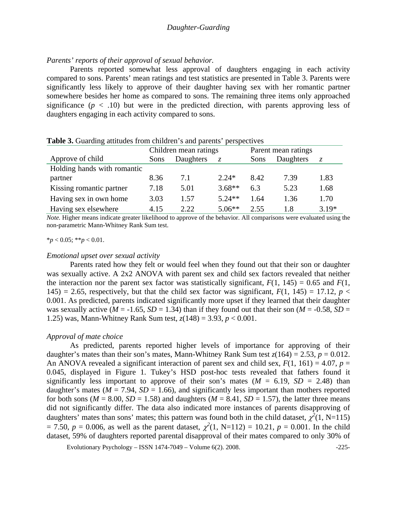## *Parents' reports of their approval of sexual behavior.*

Parents reported somewhat less approval of daughters engaging in each activity compared to sons. Parents' mean ratings and test statistics are presented in Table 3. Parents were significantly less likely to approve of their daughter having sex with her romantic partner somewhere besides her home as compared to sons. The remaining three items only approached significance  $(p < 0.10)$  but were in the predicted direction, with parents approving less of daughters engaging in each activity compared to sons.

|                             | Children mean ratings |           |          | Parent mean ratings |           |         |
|-----------------------------|-----------------------|-----------|----------|---------------------|-----------|---------|
| Approve of child            | Sons                  | Daughters | Z.       | Sons                | Daughters |         |
| Holding hands with romantic |                       |           |          |                     |           |         |
| partner                     | 8.36                  | 7.1       | $2.24*$  | 8.42                | 7.39      | 1.83    |
| Kissing romantic partner    | 7.18                  | 5.01      | $3.68**$ | 6.3                 | 5.23      | 1.68    |
| Having sex in own home      | 3.03                  | 1.57      | $5.24**$ | 1.64                | 1.36      | 1.70    |
| Having sex elsewhere        | 4.15                  | 2.22      | $5.06**$ | 2.55                | 1.8       | $3.19*$ |

#### **Table 3.** Guarding attitudes from children's and parents' perspectives

*Note.* Higher means indicate greater likelihood to approve of the behavior. All comparisons were evaluated using the non-parametric Mann-Whitney Rank Sum test.

 $*_{p}$  < 0.05; \*\**p* < 0.01.

### *Emotional upset over sexual activity*

 Parents rated how they felt or would feel when they found out that their son or daughter was sexually active. A 2x2 ANOVA with parent sex and child sex factors revealed that neither the interaction nor the parent sex factor was statistically significant,  $F(1, 145) = 0.65$  and  $F(1, 145)$ 145) = 2.65, respectively, but that the child sex factor was significant,  $F(1, 145) = 17.12$ ,  $p <$ 0.001. As predicted, parents indicated significantly more upset if they learned that their daughter was sexually active ( $M = -1.65$ ,  $SD = 1.34$ ) than if they found out that their son ( $M = -0.58$ ,  $SD =$ 1.25) was, Mann-Whitney Rank Sum test, *z*(148) = 3.93, *p* < 0.001.

### *Approval of mate choice*

As predicted, parents reported higher levels of importance for approving of their daughter's mates than their son's mates, Mann-Whitney Rank Sum test  $z(164) = 2.53$ ,  $p = 0.012$ . An ANOVA revealed a significant interaction of parent sex and child sex,  $F(1, 161) = 4.07$ ,  $p =$ 0.045, displayed in Figure 1. Tukey's HSD post-hoc tests revealed that fathers found it significantly less important to approve of their son's mates  $(M = 6.19, SD = 2.48)$  than daughter's mates ( $M = 7.94$ ,  $SD = 1.66$ ), and significantly less important than mothers reported for both sons ( $M = 8.00$ ,  $SD = 1.58$ ) and daughters ( $M = 8.41$ ,  $SD = 1.57$ ), the latter three means did not significantly differ. The data also indicated more instances of parents disapproving of daughters' mates than sons' mates; this pattern was found both in the child dataset,  $\chi^2(1, N=115)$  $= 7.50, p = 0.006$ , as well as the parent dataset,  $\chi^2(1, N=112) = 10.21, p = 0.001$ . In the child dataset, 59% of daughters reported parental disapproval of their mates compared to only 30% of

Evolutionary Psychology – ISSN 1474-7049 – Volume 6(2). 2008. -225-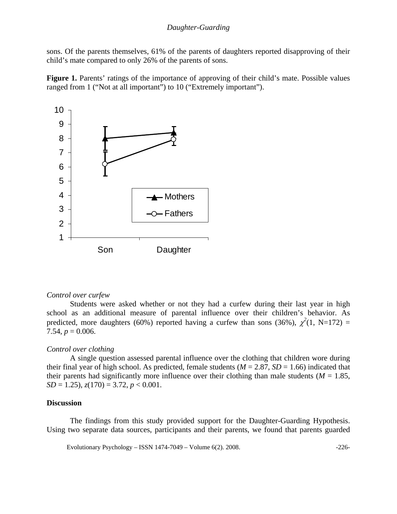sons. Of the parents themselves, 61% of the parents of daughters reported disapproving of their child's mate compared to only 26% of the parents of sons.

**Figure 1.** Parents' ratings of the importance of approving of their child's mate. Possible values ranged from 1 ("Not at all important") to 10 ("Extremely important").



#### *Control over curfew*

 Students were asked whether or not they had a curfew during their last year in high school as an additional measure of parental influence over their children's behavior. As predicted, more daughters (60%) reported having a curfew than sons (36%),  $\chi^2(1, N=172)$  = 7.54,  $p = 0.006$ .

### *Control over clothing*

A single question assessed parental influence over the clothing that children wore during their final year of high school. As predicted, female students ( $M = 2.87$ ,  $SD = 1.66$ ) indicated that their parents had significantly more influence over their clothing than male students ( $M = 1.85$ ,  $SD = 1.25$ ,  $z(170) = 3.72$ ,  $p < 0.001$ .

#### **Discussion**

The findings from this study provided support for the Daughter-Guarding Hypothesis. Using two separate data sources, participants and their parents, we found that parents guarded

Evolutionary Psychology – ISSN 1474-7049 – Volume 6(2). 2008. -226-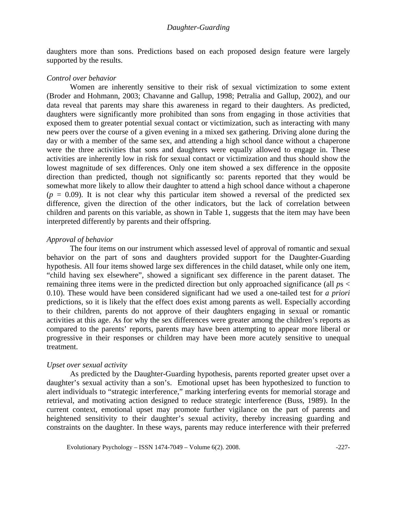daughters more than sons. Predictions based on each proposed design feature were largely supported by the results.

### *Control over behavior*

Women are inherently sensitive to their risk of sexual victimization to some extent (Broder and Hohmann, 2003; Chavanne and Gallup, 1998; Petralia and Gallup, 2002), and our data reveal that parents may share this awareness in regard to their daughters. As predicted, daughters were significantly more prohibited than sons from engaging in those activities that exposed them to greater potential sexual contact or victimization, such as interacting with many new peers over the course of a given evening in a mixed sex gathering. Driving alone during the day or with a member of the same sex, and attending a high school dance without a chaperone were the three activities that sons and daughters were equally allowed to engage in. These activities are inherently low in risk for sexual contact or victimization and thus should show the lowest magnitude of sex differences. Only one item showed a sex difference in the opposite direction than predicted, though not significantly so: parents reported that they would be somewhat more likely to allow their daughter to attend a high school dance without a chaperone  $(p = 0.09)$ . It is not clear why this particular item showed a reversal of the predicted sex difference, given the direction of the other indicators, but the lack of correlation between children and parents on this variable, as shown in Table 1, suggests that the item may have been interpreted differently by parents and their offspring.

### *Approval of behavior*

The four items on our instrument which assessed level of approval of romantic and sexual behavior on the part of sons and daughters provided support for the Daughter-Guarding hypothesis. All four items showed large sex differences in the child dataset, while only one item, "child having sex elsewhere", showed a significant sex difference in the parent dataset. The remaining three items were in the predicted direction but only approached significance (all *p*s < 0.10). These would have been considered significant had we used a one-tailed test for *a priori* predictions, so it is likely that the effect does exist among parents as well. Especially according to their children, parents do not approve of their daughters engaging in sexual or romantic activities at this age. As for why the sex differences were greater among the children's reports as compared to the parents' reports, parents may have been attempting to appear more liberal or progressive in their responses or children may have been more acutely sensitive to unequal treatment.

### *Upset over sexual activity*

As predicted by the Daughter-Guarding hypothesis, parents reported greater upset over a daughter's sexual activity than a son's. Emotional upset has been hypothesized to function to alert individuals to "strategic interference," marking interfering events for memorial storage and retrieval, and motivating action designed to reduce strategic interference (Buss, 1989). In the current context, emotional upset may promote further vigilance on the part of parents and heightened sensitivity to their daughter's sexual activity, thereby increasing guarding and constraints on the daughter. In these ways, parents may reduce interference with their preferred

Evolutionary Psychology – ISSN 1474-7049 – Volume 6(2). 2008. -227-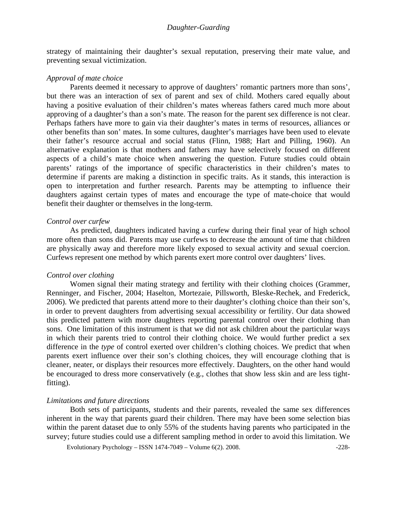strategy of maintaining their daughter's sexual reputation, preserving their mate value, and preventing sexual victimization.

### *Approval of mate choice*

Parents deemed it necessary to approve of daughters' romantic partners more than sons', but there was an interaction of sex of parent and sex of child. Mothers cared equally about having a positive evaluation of their children's mates whereas fathers cared much more about approving of a daughter's than a son's mate. The reason for the parent sex difference is not clear. Perhaps fathers have more to gain via their daughter's mates in terms of resources, alliances or other benefits than son' mates. In some cultures, daughter's marriages have been used to elevate their father's resource accrual and social status (Flinn, 1988; Hart and Pilling, 1960). An alternative explanation is that mothers and fathers may have selectively focused on different aspects of a child's mate choice when answering the question. Future studies could obtain parents' ratings of the importance of specific characteristics in their children's mates to determine if parents are making a distinction in specific traits. As it stands, this interaction is open to interpretation and further research. Parents may be attempting to influence their daughters against certain types of mates and encourage the type of mate-choice that would benefit their daughter or themselves in the long-term.

### *Control over curfew*

As predicted, daughters indicated having a curfew during their final year of high school more often than sons did. Parents may use curfews to decrease the amount of time that children are physically away and therefore more likely exposed to sexual activity and sexual coercion. Curfews represent one method by which parents exert more control over daughters' lives.

#### *Control over clothing*

Women signal their mating strategy and fertility with their clothing choices (Grammer, Renninger, and Fischer, 2004; Haselton, Mortezaie, Pillsworth, Bleske-Rechek, and Frederick, 2006). We predicted that parents attend more to their daughter's clothing choice than their son's, in order to prevent daughters from advertising sexual accessibility or fertility. Our data showed this predicted pattern with more daughters reporting parental control over their clothing than sons. One limitation of this instrument is that we did not ask children about the particular ways in which their parents tried to control their clothing choice. We would further predict a sex difference in the *type* of control exerted over children's clothing choices. We predict that when parents exert influence over their son's clothing choices, they will encourage clothing that is cleaner, neater, or displays their resources more effectively. Daughters, on the other hand would be encouraged to dress more conservatively (e.g., clothes that show less skin and are less tightfitting).

#### *Limitations and future directions*

Both sets of participants, students and their parents, revealed the same sex differences inherent in the way that parents guard their children. There may have been some selection bias within the parent dataset due to only 55% of the students having parents who participated in the survey; future studies could use a different sampling method in order to avoid this limitation. We

Evolutionary Psychology – ISSN 1474-7049 – Volume 6(2). 2008. -228-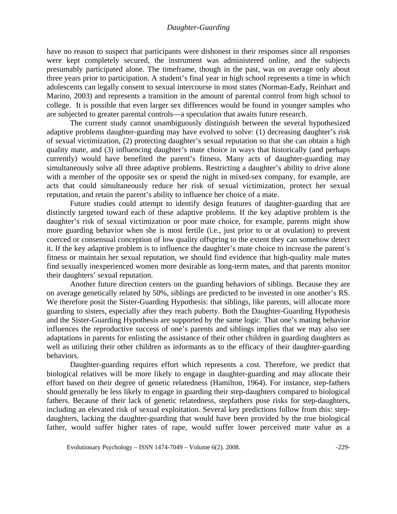have no reason to suspect that participants were dishonest in their responses since all responses were kept completely secured, the instrument was administered online, and the subjects presumably participated alone. The timeframe, though in the past, was on average only about three years prior to participation. A student's final year in high school represents a time in which adolescents can legally consent to sexual intercourse in most states (Norman-Eady, Reinhart and Marino, 2003) and represents a transition in the amount of parental control from high school to college. It is possible that even larger sex differences would be found in younger samples who are subjected to greater parental controls—a speculation that awaits future research.

The current study cannot unambiguously distinguish between the several hypothesized adaptive problems daughter-guarding may have evolved to solve: (1) decreasing daughter's risk of sexual victimization, (2) protecting daughter's sexual reputation so that she can obtain a high quality mate, and (3) influencing daughter's mate choice in ways that historically (and perhaps currently) would have benefited the parent's fitness. Many acts of daughter-guarding may simultaneously solve all three adaptive problems. Restricting a daughter's ability to drive alone with a member of the opposite sex or spend the night in mixed-sex company, for example, are acts that could simultaneously reduce her risk of sexual victimization, protect her sexual reputation, and retain the parent's ability to influence her choice of a mate.

Future studies could attempt to identify design features of daughter-guarding that are distinctly targeted toward each of these adaptive problems. If the key adaptive problem is the daughter's risk of sexual victimization or poor mate choice, for example, parents might show more guarding behavior when she is most fertile (i.e., just prior to or at ovulation) to prevent coerced or consensual conception of low quality offspring to the extent they can somehow detect it. If the key adaptive problem is to influence the daughter's mate choice to increase the parent's fitness or maintain her sexual reputation, we should find evidence that high-quality male mates find sexually inexperienced women more desirable as long-term mates, and that parents monitor their daughters' sexual reputation.

Another future direction centers on the guarding behaviors of siblings. Because they are on average genetically related by 50%, siblings are predicted to be invested in one another's RS. We therefore posit the Sister-Guarding Hypothesis: that siblings, like parents, will allocate more guarding to sisters, especially after they reach puberty. Both the Daughter-Guarding Hypothesis and the Sister-Guarding Hypothesis are supported by the same logic. That one's mating behavior influences the reproductive success of one's parents and siblings implies that we may also see adaptations in parents for enlisting the assistance of their other children in guarding daughters as well as utilizing their other children as informants as to the efficacy of their daughter-guarding behaviors.

Daughter-guarding requires effort which represents a cost. Therefore, we predict that biological relatives will be more likely to engage in daughter-guarding and may allocate their effort based on their degree of genetic relatedness (Hamilton, 1964). For instance, step-fathers should generally be less likely to engage in guarding their step-daughters compared to biological fathers. Because of their lack of genetic relatedness, stepfathers pose risks for step-daughters, including an elevated risk of sexual exploitation. Several key predictions follow from this: stepdaughters, lacking the daughter-guarding that would have been provided by the true biological father, would suffer higher rates of rape, would suffer lower perceived mate value as a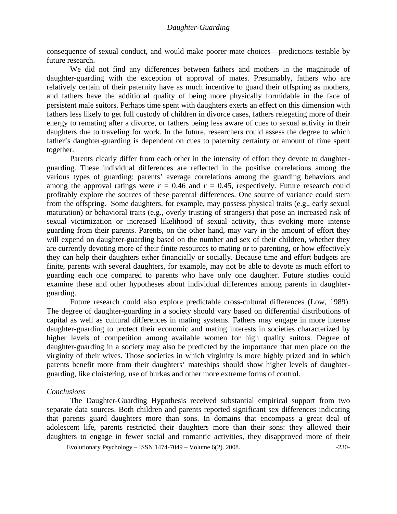consequence of sexual conduct, and would make poorer mate choices—predictions testable by future research.

We did not find any differences between fathers and mothers in the magnitude of daughter-guarding with the exception of approval of mates. Presumably, fathers who are relatively certain of their paternity have as much incentive to guard their offspring as mothers, and fathers have the additional quality of being more physically formidable in the face of persistent male suitors. Perhaps time spent with daughters exerts an effect on this dimension with fathers less likely to get full custody of children in divorce cases, fathers relegating more of their energy to remating after a divorce, or fathers being less aware of cues to sexual activity in their daughters due to traveling for work. In the future, researchers could assess the degree to which father's daughter-guarding is dependent on cues to paternity certainty or amount of time spent together.

Parents clearly differ from each other in the intensity of effort they devote to daughterguarding. These individual differences are reflected in the positive correlations among the various types of guarding: parents' average correlations among the guarding behaviors and among the approval ratings were  $r = 0.46$  and  $r = 0.45$ , respectively. Future research could profitably explore the sources of these parental differences. One source of variance could stem from the offspring. Some daughters, for example, may possess physical traits (e.g., early sexual maturation) or behavioral traits (e.g., overly trusting of strangers) that pose an increased risk of sexual victimization or increased likelihood of sexual activity, thus evoking more intense guarding from their parents. Parents, on the other hand, may vary in the amount of effort they will expend on daughter-guarding based on the number and sex of their children, whether they are currently devoting more of their finite resources to mating or to parenting, or how effectively they can help their daughters either financially or socially. Because time and effort budgets are finite, parents with several daughters, for example, may not be able to devote as much effort to guarding each one compared to parents who have only one daughter. Future studies could examine these and other hypotheses about individual differences among parents in daughterguarding.

Future research could also explore predictable cross-cultural differences (Low, 1989). The degree of daughter-guarding in a society should vary based on differential distributions of capital as well as cultural differences in mating systems. Fathers may engage in more intense daughter-guarding to protect their economic and mating interests in societies characterized by higher levels of competition among available women for high quality suitors. Degree of daughter-guarding in a society may also be predicted by the importance that men place on the virginity of their wives. Those societies in which virginity is more highly prized and in which parents benefit more from their daughters' mateships should show higher levels of daughterguarding, like cloistering, use of burkas and other more extreme forms of control.

# *Conclusions*

The Daughter-Guarding Hypothesis received substantial empirical support from two separate data sources. Both children and parents reported significant sex differences indicating that parents guard daughters more than sons. In domains that encompass a great deal of adolescent life, parents restricted their daughters more than their sons: they allowed their daughters to engage in fewer social and romantic activities, they disapproved more of their

Evolutionary Psychology – ISSN  $1474-7049$  – Volume 6(2). 2008.  $-230-7230$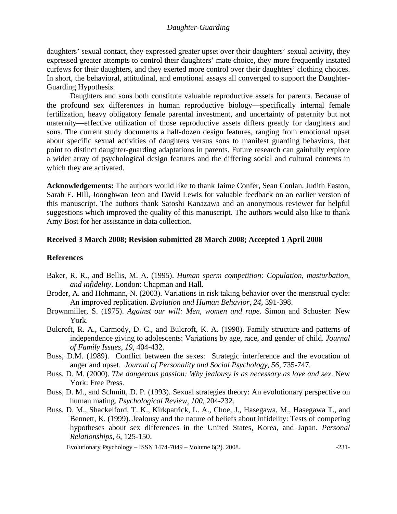daughters' sexual contact, they expressed greater upset over their daughters' sexual activity, they expressed greater attempts to control their daughters' mate choice, they more frequently instated curfews for their daughters, and they exerted more control over their daughters' clothing choices. In short, the behavioral, attitudinal, and emotional assays all converged to support the Daughter-Guarding Hypothesis.

Daughters and sons both constitute valuable reproductive assets for parents. Because of the profound sex differences in human reproductive biology—specifically internal female fertilization, heavy obligatory female parental investment, and uncertainty of paternity but not maternity—effective utilization of those reproductive assets differs greatly for daughters and sons. The current study documents a half-dozen design features, ranging from emotional upset about specific sexual activities of daughters versus sons to manifest guarding behaviors, that point to distinct daughter-guarding adaptations in parents. Future research can gainfully explore a wider array of psychological design features and the differing social and cultural contexts in which they are activated.

**Acknowledgements:** The authors would like to thank Jaime Confer, Sean Conlan, Judith Easton, Sarah E. Hill, Joonghwan Jeon and David Lewis for valuable feedback on an earlier version of this manuscript. The authors thank Satoshi Kanazawa and an anonymous reviewer for helpful suggestions which improved the quality of this manuscript. The authors would also like to thank Amy Bost for her assistance in data collection.

### **Received 3 March 2008; Revision submitted 28 March 2008; Accepted 1 April 2008**

### **References**

- Baker, R. R., and Bellis, M. A. (1995). *Human sperm competition: Copulation, masturbation, and infidelity*. London: Chapman and Hall.
- Broder, A. and Hohmann, N. (2003). Variations in risk taking behavior over the menstrual cycle: An improved replication. *Evolution and Human Behavior, 24*, 391-398.
- Brownmiller, S. (1975). *Against our will: Men, women and rape.* Simon and Schuster: New York.
- Bulcroft, R. A., Carmody, D. C., and Bulcroft, K. A. (1998). Family structure and patterns of independence giving to adolescents: Variations by age, race, and gender of child. *Journal of Family Issues, 19*, 404-432.
- Buss, D.M. (1989). Conflict between the sexes: Strategic interference and the evocation of anger and upset. *Journal of Personality and Social Psychology*, *56*, 735-747.
- Buss, D. M. (2000). *The dangerous passion: Why jealousy is as necessary as love and sex*. New York: Free Press.
- Buss, D. M., and Schmitt, D. P. (1993). Sexual strategies theory: An evolutionary perspective on human mating. *Psychological Review, 100*, 204-232.
- Buss, D. M., Shackelford, T. K., Kirkpatrick, L. A., Choe, J., Hasegawa, M., Hasegawa T., and Bennett, K. (1999). Jealousy and the nature of beliefs about infidelity: Tests of competing hypotheses about sex differences in the United States, Korea, and Japan. *Personal Relationships, 6*, 125-150.

Evolutionary Psychology – ISSN  $1474-7049$  – Volume 6(2). 2008.  $-231-769$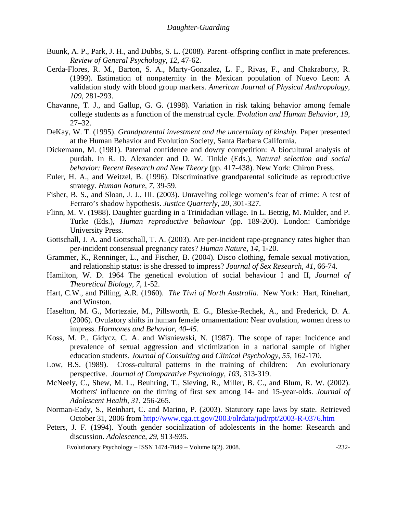- Buunk, A. P., Park, J. H., and Dubbs, S. L. (2008). Parent–offspring conflict in mate preferences. *Review of General Psychology, 12,* 47-62.
- Cerda-Flores, R. M., Barton, S. A., Marty-Gonzalez, L. F., Rivas, F., and Chakraborty, R. (1999). Estimation of nonpaternity in the Mexican population of Nuevo Leon: A validation study with blood group markers. *American Journal of Physical Anthropology, 109*, 281-293.
- Chavanne, T. J., and Gallup, G. G. (1998). Variation in risk taking behavior among female college students as a function of the menstrual cycle. *Evolution and Human Behavior, 19*, 27–32.
- DeKay, W. T. (1995). *Grandparental investment and the uncertainty of kinship.* Paper presented at the Human Behavior and Evolution Society, Santa Barbara California.
- Dickemann, M. (1981). Paternal confidence and dowry competition: A biocultural analysis of purdah. In R. D. Alexander and D. W. Tinkle (Eds.), *Natural selection and social behavior: Recent Research and New Theory* (pp. 417-438). New York: Chiron Press.
- Euler, H. A., and Weitzel, B. (1996). Discriminative grandparental solicitude as reproductive strategy. *Human Nature, 7*, 39-59.
- Fisher, B. S., and Sloan, J. J., III. (2003). Unraveling college women's fear of crime: A test of Ferraro's shadow hypothesis. *Justice Quarterly, 20*, 301-327.
- Flinn, M. V. (1988). Daughter guarding in a Trinidadian village. In L. Betzig, M. Mulder, and P. Turke (Eds.), *Human reproductive behaviour* (pp. 189-200). London: Cambridge University Press.
- Gottschall, J. A. and Gottschall, T. A. (2003). Are per-incident rape-pregnancy rates higher than per-incident consensual pregnancy rates? *Human Nature, 14*, 1-20.
- Grammer, K., Renninger, L., and Fischer, B. (2004). Disco clothing, female sexual motivation, and relationship status: is she dressed to impress? *Journal of Sex Research, 41*, 66-74.
- Hamilton, W. D. 1964 The genetical evolution of social behaviour I and II, *Journal of Theoretical Biology, 7*, 1-52.
- Hart, C.W., and Pilling, A.R. (1960). *The Tiwi of North Australia.* New York: Hart, Rinehart, and Winston.
- Haselton, M. G., Mortezaie, M., Pillsworth, E. G., Bleske-Rechek, A., and Frederick, D. A. (2006). Ovulatory shifts in human female ornamentation: Near ovulation, women dress to impress. *Hormones and Behavior, 40-45*.
- Koss, M. P., Gidycz, C. A. and Wisniewski, N. (1987). The scope of rape: Incidence and prevalence of sexual aggression and victimization in a national sample of higher education students. *Journal of Consulting and Clinical Psychology, 55*, 162-170.
- Low, B.S. (1989). Cross-cultural patterns in the training of children: An evolutionary perspective. *Journal of Comparative Psychology*, *103*, 313-319.
- McNeely, C., Shew, M. L., Beuhring, T., Sieving, R., Miller, B. C., and Blum, R. W. (2002). Mothers' influence on the timing of first sex among 14- and 15-year-olds. *Journal of Adolescent Health, 31*, 256-265.
- Norman-Eady, S., Reinhart, C. and Marino, P. (2003). Statutory rape laws by state. Retrieved October 31, 2006 from <http://www.cga.ct.gov/2003/olrdata/jud/rpt/2003-R-0376.htm>
- Peters, J. F. (1994). Youth gender socialization of adolescents in the home: Research and discussion. *Adolescence, 29*, 913-935.

Evolutionary Psychology – ISSN 1474-7049 – Volume 6(2). 2008. -232-